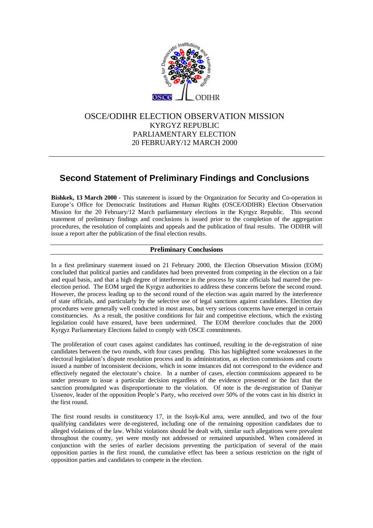

# OSCE/ODIHR ELECTION OBSERVATION MISSION KYRGYZ REPUBLIC PARLIAMENTARY ELECTION 20 FEBRUARY/12 MARCH 2000

# **Second Statement of Preliminary Findings and Conclusions**

**Bishkek, 13 March 2000 -** This statement is issued by the Organization for Security and Co-operation in Europe's Office for Democratic Institutions and Human Rights (OSCE/ODIHR) Election Observation Mission for the 20 February/12 March parliamentary elections in the Kyrgyz Republic. This second statement of preliminary findings and conclusions is issued prior to the completion of the aggregation procedures, the resolution of complaints and appeals and the publication of final results. The ODIHR will issue a report after the publication of the final election results.

### **Preliminary Conclusions**

In a first preliminary statement issued on 21 February 2000, the Election Observation Mission (EOM) concluded that political parties and candidates had been prevented from competing in the election on a fair and equal basis, and that a high degree of interference in the process by state officials had marred the preelection period. The EOM urged the Kyrgyz authorities to address these concerns before the second round. However, the process leading up to the second round of the election was again marred by the interference of state officials, and particularly by the selective use of legal sanctions against candidates. Election day procedures were generally well conducted in most areas, but very serious concerns have emerged in certain constituencies. As a result, the positive conditions for fair and competitive elections, which the existing legislation could have ensured, have been undermined. The EOM therefore concludes that the 2000 Kyrgyz Parliamentary Elections failed to comply with OSCE commitments.

The proliferation of court cases against candidates has continued, resulting in the de-registration of nine candidates between the two rounds, with four cases pending. This has highlighted some weaknesses in the electoral legislation's dispute resolution process and its administration, as election commissions and courts issued a number of inconsistent decisions, which in some instances did not correspond to the evidence and effectively negated the electorate's choice. In a number of cases, election commissions appeared to be under pressure to issue a particular decision regardless of the evidence presented or the fact that the sanction promulgated was disproportionate to the violation. Of note is the de-registration of Daniyar Ussenov, leader of the opposition People's Party, who received over 50% of the votes cast in his district in the first round.

The first round results in constituency 17, in the Issyk-Kul area, were annulled, and two of the four qualifying candidates were de-registered, including one of the remaining opposition candidates due to alleged violations of the law. Whilst violations should be dealt with, similar such allegations were prevalent throughout the country, yet were mostly not addressed or remained unpunished. When considered in conjunction with the series of earlier decisions preventing the participation of several of the main opposition parties in the first round, the cumulative effect has been a serious restriction on the right of opposition parties and candidates to compete in the election.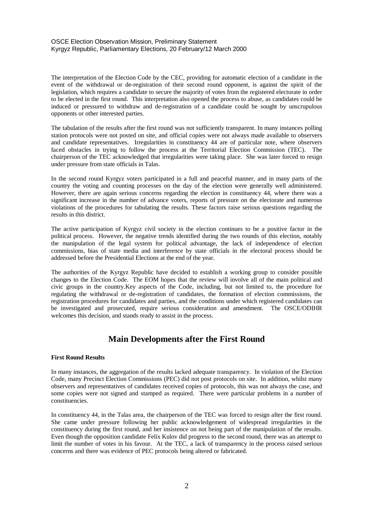#### OSCE Election Observation Mission, Preliminary Statement Kyrgyz Republic, Parliamentary Elections, 20 February/12 March 2000

The interpretation of the Election Code by the CEC, providing for automatic election of a candidate in the event of the withdrawal or de-registration of their second round opponent, is against the spirit of the legislation, which requires a candidate to secure the majority of votes from the registered electorate in order to be elected in the first round. This interpretation also opened the process to abuse, as candidates could be induced or pressured to withdraw and de-registration of a candidate could be sought by unscrupulous opponents or other interested parties.

The tabulation of the results after the first round was not sufficiently transparent. In many instances polling station protocols were not posted on site, and official copies were not always made available to observers and candidate representatives. Irregularities in constituency 44 are of particular note, where observers faced obstacles in trying to follow the process at the Territorial Election Commission (TEC). The chairperson of the TEC acknowledged that irregularities were taking place. She was later forced to resign under pressure from state officials in Talas.

In the second round Kyrgyz voters participated in a full and peaceful manner, and in many parts of the country the voting and counting processes on the day of the election were generally well administered. However, there are again serious concerns regarding the election in constituency 44, where there was a significant increase in the number of advance voters, reports of pressure on the electorate and numerous violations of the procedures for tabulating the results. These factors raise serious questions regarding the results in this district.

The active participation of Kyrgyz civil society in the election continues to be a positive factor in the political process. However, the negative trends identified during the two rounds of this election, notably the manipulation of the legal system for political advantage, the lack of independence of election commissions, bias of state media and interference by state officials in the electoral process should be addressed before the Presidential Elections at the end of the year.

The authorities of the Kyrgyz Republic have decided to establish a working group to consider possible changes to the Election Code. The EOM hopes that the review will involve all of the main political and civic groups in the country.Key aspects of the Code, including, but not limited to, the procedure for regulating the withdrawal or de-registration of candidates, the formation of election commissions, the registration procedures for candidates and parties, and the conditions under which registered candidates can be investigated and prosecuted, require serious consideration and amendment. The OSCE/ODIHR welcomes this decision, and stands ready to assist in the process.

# **Main Developments after the First Round**

#### **First Round Results**

In many instances, the aggregation of the results lacked adequate transparency. In violation of the Election Code, many Precinct Election Commissions (PEC) did not post protocols on site. In addition, whilst many observers and representatives of candidates received copies of protocols, this was not always the case, and some copies were not signed and stamped as required. There were particular problems in a number of constituencies.

In constituency 44, in the Talas area, the chairperson of the TEC was forced to resign after the first round. She came under pressure following her public acknowledgement of widespread irregularities in the constituency during the first round, and her insistence on not being part of the manipulation of the results. Even though the opposition candidate Felix Kulov did progress to the second round, there was an attempt to limit the number of votes in his favour. At the TEC, a lack of transparency in the process raised serious concerns and there was evidence of PEC protocols being altered or fabricated.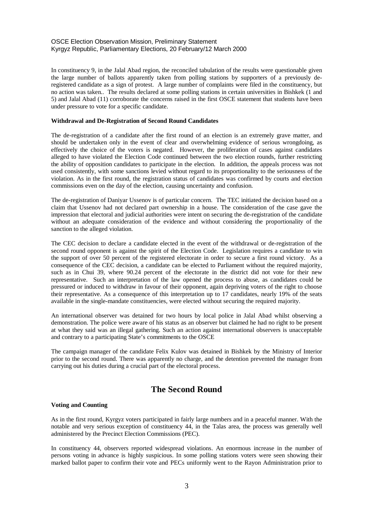#### OSCE Election Observation Mission, Preliminary Statement Kyrgyz Republic, Parliamentary Elections, 20 February/12 March 2000

In constituency 9, in the Jalal Abad region, the reconciled tabulation of the results were questionable given the large number of ballots apparently taken from polling stations by supporters of a previously deregistered candidate as a sign of protest. A large number of complaints were filed in the constituency, but no action was taken.. The results declared at some polling stations in certain universities in Bishkek (1 and 5) and Jalal Abad (11) corroborate the concerns raised in the first OSCE statement that students have been under pressure to vote for a specific candidate.

#### **Withdrawal and De-Registration of Second Round Candidates**

The de-registration of a candidate after the first round of an election is an extremely grave matter, and should be undertaken only in the event of clear and overwhelming evidence of serious wrongdoing, as effectively the choice of the voters is negated. However, the proliferation of cases against candidates alleged to have violated the Election Code continued between the two election rounds, further restricting the ability of opposition candidates to participate in the election. In addition, the appeals process was not used consistently, with some sanctions levied without regard to its proportionality to the seriousness of the violation. As in the first round, the registration status of candidates was confirmed by courts and election commissions even on the day of the election, causing uncertainty and confusion.

The de-registration of Daniyar Ussenov is of particular concern. The TEC initiated the decision based on a claim that Ussenov had not declared part ownership in a house. The consideration of the case gave the impression that electoral and judicial authorities were intent on securing the de-registration of the candidate without an adequate consideration of the evidence and without considering the proportionality of the sanction to the alleged violation.

The CEC decision to declare a candidate elected in the event of the withdrawal or de-registration of the second round opponent is against the spirit of the Election Code. Legislation requires a candidate to win the support of over 50 percent of the registered electorate in order to secure a first round victory. As a consequence of the CEC decision, a candidate can be elected to Parliament without the required majority, such as in Chui 39, where 90.24 percent of the electorate in the district did not vote for their new representative. Such an interpretation of the law opened the process to abuse, as candidates could be pressured or induced to withdraw in favour of their opponent, again depriving voters of the right to choose their representative. As a consequence of this interpretation up to 17 candidates, nearly 19% of the seats available in the single-mandate constituencies, were elected without securing the required majority.

An international observer was detained for two hours by local police in Jalal Abad whilst observing a demonstration. The police were aware of his status as an observer but claimed he had no right to be present at what they said was an illegal gathering. Such an action against international observers is unacceptable and contrary to a participating State's commitments to the OSCE

The campaign manager of the candidate Felix Kulov was detained in Bishkek by the Ministry of Interior prior to the second round. There was apparently no charge, and the detention prevented the manager from carrying out his duties during a crucial part of the electoral process.

## **The Second Round**

#### **Voting and Counting**

As in the first round, Kyrgyz voters participated in fairly large numbers and in a peaceful manner. With the notable and very serious exception of constituency 44, in the Talas area, the process was generally well administered by the Precinct Election Commissions (PEC).

In constituency 44, observers reported widespread violations. An enormous increase in the number of persons voting in advance is highly suspicious. In some polling stations voters were seen showing their marked ballot paper to confirm their vote and PECs uniformly went to the Rayon Administration prior to